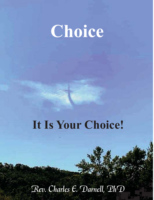# **Choice**

### **It Is Your Choice!**

### Rev. Charles E. Darnell, PhD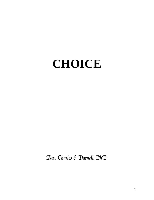### **CHOICE**

Rev. Charles E Darnell, PhD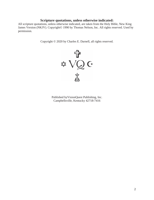#### **Scripture quotations, unless otherwise indicated:**

All scripture quotations, unless otherwise indicated, are taken from the Holy Bible, New King James Version (NKJV). Copyright© 1990 by Thomas Nelson, Inc. All rights reserved. Used by permission.

Copyright © 2020 by Charles E. Darnell, all rights reserved.



Published byVisionQuest Publishing, Inc. Campbellsville, Kentucky 42718-7416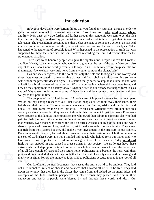#### **Introduction**

ne gathe<br>these faituation<br>used to<br>rey, to n happened to the gathering of provable facts? What happened to the presentation of truth that was In bygone days there were certain things the<br>gather information to make a newscast presentation<br>and <u>how</u>. Now days, as we go further and further the<br>that the only thing a modern day journalist is co<br>television. The presen that the only thing a modern day journalist is concerned about is how to get their image on In bygone days there were certain things that you found any journalist asking in order to gather information to make a newscast presentation. Those things were **who**, **what**, **when**, **where** and **how**. Now days, as we go further and further through this pandemic we seem to get the idea television. The presentation presented is either a chastisement of someone's actions, a statistical number count or an opinion of the journalist who are calling themselves analysts. What supported by these facts and not the spin doctor's rewording that put a different slant on the statement or situation.

People like V<br>of the story.<br>merica or an<br>planet. Why<br>poting are ne<br>s fault conce There used to be honored people who gave the nightly news. People like Walter Cronkite and Paul Harvey, to name a couple, who would also give you the rest of the story. We could also expect to learn about news worthy events in Europe, Asia, South America or anyplace else for that matter. Now we hear very little news from any other point on the planet. Why?

at itself for a brief moment of introspection. What are our beliefs, where did they come from, and<br>how do they apply to us as a society today? What occurred in our history that helped form us as a<br>nation? Maybe we should r Has our society digressed to the point that only the riots and looting are news worthy and those facts must be stated in a manner that blames and finds obvious fault concerning someone with whom the presenter doesn't agree. This nation really needs to stop, take a breathe and look how do they apply to us as a society today? What occurred in our history that helped form us as a nation? Maybe we should return to some of those facts and do a review of who we are and how we got to this point in time.

entzens who will step up to the task to represent out<br>of us all for a couple of years and then return home.<br>perks and high minded ideas that they are better then<br>their way is right. Follow the money as it pertains to<br>evil. share croppers who worked long hard hours just to make enough to raise a family. They never<br>got rich from their labors but they did make a vast investment in the structure of our society.<br>Both races went to church, learned s were<br>get that<br>to some<br>o work<br>y side a not all of them came by their own initiative. Africans and Orientals were brought into this The peoples of the United States of America are of imported descent for the most part. We do not pay enough respect to our First Nation peoples as we took away their lands, their beliefs and their heritage. Those who came later were from Europe, Africa and the Far East and country as slave laborers but they were not alone in this. Let us not forget that many Europeans were brought to this land as indentured servants who owed their labors to someone else who had paid for their journey to this country. As indentured servants they had to work as slaves to repay that expense. Even those who worked the land on farms worked side by side as black and white got rich from their labors but they did make a vast investment in the structure of our society. Both races went to church, learned about Jesus and made their testimonies of faith to believe in the Son of God. These were all strong minded individuals who helped form our nation and who have gone to war to protect our freedom and our great God blessed society. Today **greed and idolatry** has stepped in and caused a great schism in our society. We no longer have those citizens who will step up to the task to represent our fellowman and work toward the betterment of us all for a couple of years and then return home. Politicians have become the norm with their perks and high minded ideas that they are better then the rest of society and can do no wrong and their way is right. Follow the money as it pertains to politicians because money is the root of all evil.

-concepts of the Judo-Christian perspective. In other words they placed God first in their Our forefathers penned documents that caused the entire world to be envious. They laid out a tri-branched system of checks and balances that allowed all of us to be free. They laid down the tyranny that they left in the places they came from and picked up the moral ideas and endeavors and we as a people were blessed by and through these words and ideas. Our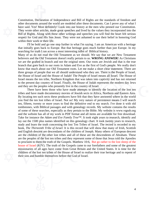other documents around the world are modeled afted have said. Yes! Most definitely! Look into our hist<br>They wrote other articles, made great speeches and<br>Bill of Rights. Along with these other writings and<br>respect for God respect for God and His Son Jesus. They were not ashamed to use their belief in honoring God Constitution, Declaration of Independence and Bill of Rights are the standards of freedom and other documents around the world are modeled after these documents. Can I prove any of what I have said. Yes! Most definitely! Look into our history at the men who penned our Constitution. They wrote other articles, made great speeches and lived by the values they incorporated into the Bill of Rights. Along with these other writings and speeches you will find the heart felt serious within their work or their life.

 that initially goes back to Europe. But that heritage goes much further than just Europe. In my I'll be bold and go one step further in what I'm saying. I am an American with a heritage

searching for truth I ran across a most interesting tidbit of Biblical history.<br>Many of us do not read the Old Testament as we should. We say that we<br>believers and the Old Testament doesn't really pertain to us. **WRONG ANS** Jewish and<br>d's people.<br>t clear stater<br>here is the P<br>ans all Israel Many of us do not read the Old Testament as we should. We say that we are New Testament believers and the Old Testament doesn't really pertain to us. **WRONG ANSWER!** As Christians we are the grafted in branch and not the original stem. Our roots are Jewish and that is the true branch that goes back to our roots in Adam and Eve as the first of God's people. We really don't know that much about our Old Testament roots. Let me make a short clear statement. There are three groups of people that we all should understand who they are. There is the People of Israel, the House of Israel and the House of Judah! The People of Israel means all Israel. The House of Israel means the ten tribe, Northern Kingdom that was taken into captivity and has not returned to the present day country of Israel. Finally, the House of Judah represents the modern day Jews and they are the peoples who presently live in the country of Israel.

missionaries of all ages have come from Great Bri<br>children of the lost ten tribes of the House of Israel<br>their sins and humble themselves before the God of study and learn the truth concerning the lost Ten Tribes of Israel. The record is recorded in hiy<br>book, *The Thirteenth Tribe of Israel*. It is this record that will show that many of Irish, Scottish<br>and English descent ar of some of these searches, especially as they pertain to the Bible. My website is www.vqpub.org<br>and the website has all of my work in PDF format and all items are available for free download.<br>Take for instance the *Adam a*  tombstones, with Biblical passages and with genealogy records. My website contains the results the House of Judah represents the modern day Jews<br>n the country of Israel.<br>ade attempts to identify the location of the lost ten<br>of Jewish sects in Africa, Northern and Eastern Asia.<br>ave felt that they have answered where There have been those who have made attempts to identify the location of the lost ten tribes and have made documentary movies of Jewish sects in Africa, Northern and Eastern Asia. By locating ten such sects these producers have felt that they have answered where in the world you find the ten lost tribes of Israel. Not so! My very nature of persistence means I will search ten, fifteen, twenty or more years to find the definitive end to my search. I've done it with old and the website has all of my work in PDF format and all items are available for free download. Take for instance the *Adam and Eve Family Tree*™. It took eight years to research, identify and lay out the 1500 plus names identified on this genealogy chart. It took twenty years to research, study and learn the truth concerning the lost Ten Tribes of Israel. The record is recorded in my and English descent are descendants of the children of Joseph. Many others of European descent are the children of the other lost tribes and all of these are the descendents of Abraham. These are the peoples of the lost ten tribes and they represent some of those that Jesus told the Apostles to proclaim to them the truth of the Gospels. Matthew 10:6, But go rather to the lost sheep of the house of Israel (KJV). The truth of the Gospels came to our forefathers and some of the greatest missionaries of all ages have come from Great Britain and the United States. It is time for the children of the lost ten tribes of the House of Israel to realize their true heritage and to repent of their sins and humble themselves before the God of Israel.

4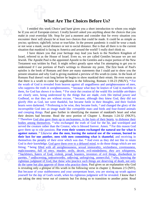### $\ddot{\mathbf{u}}$ **What Are The Choices Before Us?**

 situation that mankind is facing in America and around the world? I really don't think so. I entitled this work *Choice* and have given<br>be if you are of European extract. I really haven't a<br>make in your everyday life. Stop for just a mome<br>encounter there will always be at least two choices<br>yes/no; up/down; right encounter there will always be at least two choices that could be made. It could be as simple as I entitled this work *Choice* and have given you a short introduction to whom you might be if you are of European extract. I really haven't asked you anything about the choices that you make in your everyday life. Stop for just a moment and consider that for every situation you yes/no; up/down; right/left; in/out or true/false. In the present pandemic it could be wear a mask or not wear a mask; social distance or not to social distance. But is that all there is to the current

mankino<br>shown<br>d to as<br>postle I<br>s writte yourself for the day of God's wrath, when his righteous judgment will be revealed. I know that I<br>am taking the next verse out of contexts but I'm doing so to transition to another point. Read<br>5 maliciousness; full of envy, murder, strife, deceit, evil-mindedness; *they are* whisperers,<br>
<sup>30</sup> backbiters, haters of God, violent, proud, boasters, inventors of evil things, disobedient to<br>
parents, <sup>31</sup> undiscerning, reature rathe<br>p to vile pas<br>**ire.** <sup>27</sup> Likew<br>**br one anot**<br>the penalty c<br>knowledge. incorruptible God into an image made like corruptible man--and birds and four-footed animals and creeping things. Paul goes further in identifying the manner of mankind's heart and what their desires had become. Read the n incorruptible God into an image made like corruptible man--and birds and four-footed animals because what may be known of God is manifest in<br>
the creation of the world His invisible *attributes*<br>
things that are made, *even* His eternal power and<br>
<sup>21</sup> because, although they knew God, they did not<br>
at became futi a major port<br>m attemptin<br>t. The first<br>could use to<br>cath to come<br>ir errors. He I have shown you that your heritage may lead you back to the Northern Kingdom of Israel, referred to as the House of Israel. Even so, we are called Gentiles because we are not Jewish. The Apostle Paul is the appointed Apostle to the Gentiles and a major portion of the New Testament was written by Paul. It might reflect greatly upon what I'm attempting to get you to understand if I use portions of Paul's writings to illustrate my point. The first book of Paul's epistles is the book of Romans and there are many statements that I could use to show you the present situation and why God is giving mankind a preview of His wrath to come. In the book of Romans Paul doesn't wait long before he begins to show mankind their errors. He even warns us that there is a wrath to come for ungodliness in the following, Romans 1:18-23 (NKJV), **18** For the wrath of God is revealed from heaven against all ungodliness and unrighteousness of men, who suppress the truth in unrighteousness, <sup>19</sup> because what may be known of God is manifest in them, for God has shown *it* to them. **20** For since the creation of the world His invisible *attributes* are clearly seen, being understood by the things that are made, *even* His eternal power and Godhead, so that they are without excuse, **21** because, although they knew God, they did not glorify *Him* as God, nor were thankful, but became futile in their thoughts, and their foolish hearts were darkened. **22** Professing to be wise, they became fools, **23** and changed the glory of the and creeping things. Paul goes further in identifying the manner of mankind's heart and what their desires had become. Read the next portion of Chapter 1, Romans 1:24-32 (NKJV), <sup>24</sup> Therefore God also gave them up to uncleanness, in the lusts of their hearts, to dishonor their served the creature rather than the Creator, who is blessed forever. Amen. **26** For this reason God gave them up to vile passions. **For even their women exchanged the natural use for what is against nature**. **27** Likewise **also the men, leaving the natural use of the woman, burned in their lust for one another, men with men committing what is shameful**, and receiving in themselves the penalty of their error which was due. **28** And even as they did not like to retain God in *their* knowledge, God gave them over to a debased mind, to do those things which are not fitting; **29** being filled with all unrighteousness, sexual immorality, wickedness, covetousness, **<sup>30</sup>** backbiters, haters of God, violent, proud, boasters, inventors of evil things, disobedient to parents, **31** undiscerning, untrustworthy, unloving, unforgiving, unmerciful; **32** who, knowing the righteous judgment of God, that those who practice such things are deserving of death, not only do the same but also approve of those who practice them. Paul gives us an explanation why God is revealing only a glimpse of His wrath in the following verse in chapter 2, Romans 2:5 (NIV), But because of your stubbornness and your unrepentant heart, you are storing up wrath against am taking the next verse out of contexts but I'm doing so to transition to another point. Read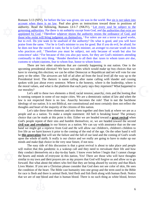evil.<sup>5</sup><br>ke.<sup>6</sup> Fo<br>this ve<br>om cus he does not bear the sword in vain; for he is God's minister, an avenger to *execute* wrath on him account when there is no law. Paul also gives a<br>authority. Read the following, Romans 13:1-7 (<br>governing authorities. For there is no authority exce<br>appointed by God. <sup>2</sup> Therefore whoever resists the<br>those who resist will those who resist will bring judgment on themselves. **<sup>3</sup>** For rulers are not a terror to good works,  $\begin{array}{c}\n\text{QWD} \\
\text{QWD} \\
\text{QJD} \\
\text{QJD} \\
\text{QCD} \\
\text{QCD} \\
\text{QCD} \\
\text{QCD} \\
\text{QCD} \\
\text{QCD} \\
\text{QCD} \\
\text{QCD} \\
\text{QCD} \\
\text{QCD} \\
\text{QCD} \\
\text{QCD} \\
\text{QCD} \\
\text{QCD} \\
\text{QCD} \\
\text{QCD} \\
\text{QCD} \\
\text{QCD} \\
\text{QCD} \\
\text{QCD} \\
\text{QCD} \\
\text{QCD} \\
\text{QCD} \\
\text{QCD} \\
\text{QCD} \\
\text{QCD} \\
\text$ Romans 5:13 (NIV), for before the law was given, sin was in the world. But sin is not taken into account when there is no law. Paul also gives us instructions toward those in positions of authority. Read the following, Romans 13:1-7 (NKJV), <sup>1</sup>Let every soul be subject to the governing authorities. For there is no authority except from God, and the authorities that exist are appointed by God. <sup>2</sup> Therefore whoever resists the authority resists the ordinance of God, and but to evil. Do you want to be unafraid of the authority? Do what is good, and you will have praise from the same. **<sup>4</sup>** For he is God's minister to you for good. But if you do evil, be afraid; for who practices evil. <sup>5</sup> Therefore *you* must be subject, not only because of wrath but also for conscience' sake. <sup>6</sup> For because of this you also pay taxes, for they are God's ministers attending continually to this very thing. <sup>7</sup> Render therefore to all their due: taxes to whom taxes *are due*, customs to whom customs, fear to whom fear, honor to whom honor.

in our national<br>ske up two contained we will<br>level all the There are two other situations that are currently happening in our nation. One is the upcoming presidential election? We have two sides which would make up two choices that we have in viewing this election; we can be either Democrat or Republican and we will vote for one party or the other. The airwaves are full of ad after ad from the local level all the way up to the Presidential level. The rhetoric is name calling after name calling with slander and cussing spoken with just about every sentence. Where is the honesty, where is the leadership, where is the moral values, and what is the platform that each party says they represent? What happened to our morality?

The set of the honesty, where is the leadership, where is<br>at each party says they represent? What happened to<br>rd; racial tension, anarchy, riots and the looting that<br>ies. We are a democratic nation of law and when the<br>arch Let's add to these two elements a third; racial tension, anarchy, riots and the looting that is running rampant in some of our major cities. We are a democratic nation of law and when the law is not respected there is no law. Anarchy becomes the rule! That is not the backbone ideology of our nation. It is not Biblical, nor constitutional and most certainly does not reflect the thoughts and heart of the majority of the citizens of this nation.

How was and revolution in our instory as a hation. We can say with assurance that on the one hand we might get a reprieve from God and He will allow our children's, children's children to live life as we have known it prio look at v<br>king lo<br>ard a <u>gr</u><br>eaded t<br>assuranc Let's take these three elements and mix them together and then look at where we are as a people and as a nation. To make a simple statement: All hell is breaking loose! The primary choice that can be made at this point is this: Either we are headed toward a **great revival** when God's people repent of their sins and humble themselves; or, we are headed toward the second **civil war and revolution** in our history as a nation. We can say with assurance that on the one live life as we have known it prior to the coming of the end of the age. On the other hand it will be **this generation** that will see the failure and the fall of our land and the coming of God's wrath upon the whole of earth. It really is our choice and we really are going to have to make up our minds and make that choice in the very near future, if not now.

that we are of one blood and that is human blood. There is no such thing as white blood, brown that we are of one blood and that is human blood. There is no such thing as white blood, brown for race is flesh and there is animal flesh, bird flesh and fish flesh along with human flesh. Notice will realize that this pandemic is a wakeup call and<br>they conduct themselves on a day-to-day basis. I kn<br>the hearts and minds of everyone in this nation. Y<br>similar to my own and their prayers are as my prayer<br>forward. But forward. But what about the others who feel that they are being abused by society and that Black The easy side of this discussion is that a great revival is about to take place and people will realize that this pandemic is a wakeup call and they need to reevaluate their life and how they conduct themselves on a day-to-day basis. I know even before I begin that I cannot change the hearts and minds of everyone in this nation. Yes! There are those who will have thoughts similar to my own and their prayers are as my prayers that God will forgive us and allow us to go Lives Matter. If you are a Christian please consider that God does not see color of skin, He sees the condition of the heart. The Bible cast humanity into one group and the term used in the Bible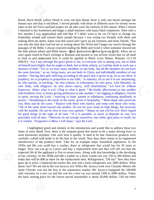se which<br>se which<br>d under<br>I say, t passages of the Bible. I always enjoyed reading the Bible and loved it when someone showed me human race and that is red blood. I served proudly<br>years in the Air Force and had respect for all who w<br>I returned to my hometown and began a small busin<br>few months I was approached and told that if I d<br>leadership around a leadership around and toward black people because I was acting too friendly with them and with the humble. Do not be wise in your own opinion. <sup>17</sup> Repay no one evil for evil. Have regard for good things in the sight of all men. <sup>18</sup> If it is possible, as much as depends on you, live peaceably with all men. <sup>1</sup> <sup>16</sup> Be of the same mind toward one another. Do not set your mind on high things, but associate rts, in exhortation; he who gives, with liberality; he<br>s mercy, with cheerfulness.  $^{\circ}$  *Let* love *be* without<br>nat is good.  $^{10}$  *Be* kindly affectionate to one another<br>nce to one another; <sup>11</sup> not lagging in diligen is among you<br>is among you<br>God has deal<br>all the membodividually r<br>ven to us, let blood, black blood, yellow blood or even red skin blood; there is only one blood amongst the human race and that is red blood. I served proudly with those of different races for twenty-seven years in the Air Force and had respect for all who wore the uniform of this nation. When I retired I returned to my hometown and began a small business with many black employees. After only a few months I was approached and told that if I didn't want to be cut I'd have to change my making them my peers. Satan won that round and I gave up my business and many friends. That was also the time that God led me to writing about His Word and I began my search through the the little phrase which said Bible means - **B**asic **I**nstructions **B**efore **L**eaving **E**arth. Allow me to once again return to Paul's writings in Romans and present to you several verses that we all need to look at and understand how it could be applied to Black Lives Matter. Romans 12:3-19 (NKJV), **<sup>3</sup>** For I say, through the grace given to me, to everyone who is among you, not to think *of himself* more highly than he ought to think, but to think soberly, as God has dealt to each one a measure of faith. <sup>4</sup> For as we have many members in one body, but all the members do not have the same function, <sup>5</sup> so we, *being* many, are one body in Christ, and individually members of one another. **<sup>6</sup>** Having then gifts differing according to the grace that is given to us, *let us use them:* if prophecy, *let us prophesy* in proportion to our faith; <sup>7</sup> or ministry, *let us use it* in *our* ministering; he who teaches, in teaching; <sup>8</sup> he who exhorts, in exhortation; he who gives, with liberality; he who leads, with diligence; he who shows mercy, with cheerfulness. *Plet* love *be* without hypocrisy. Abhor what is evil. Cling to what is good. **<sup>10</sup>** *Be* kindly affectionate to one another with brotherly love, in honor giving preference to one another; <sup>11</sup> not lagging in diligence, fervent in spirit, serving the Lord; **12** rejoicing in hope, patient in tribulation, continuing steadfastly in prayer; **13** distributing to the needs of the saints, given to hospitality. **14** Bless those who persecute you; bless and do not curse. **15** Rejoice with those who rejoice, and weep with those who weep. for good things in the sight of all men. **18** If it is possible, as much as depends on you, live peaceably with all men. **19** Beloved, do not avenge yourselves, but *rather* give place to wrath; for it is written, *"Vengeance is Mine, I will repay,"* says the Lord.

the basis starting price for the lowest priced automobile is about 20,000 dollars. Tell me there the basis starting price for the lowest priced automobile is about 20,000 dollars. Tell me there mile warranty on a new car and the cost for a new car was around 1500 to 2000 dollars. Today longer. Now you can go to Lowe's and buy a replacement item and they will tell you that the expected life of the appliance is five to seven years. Along with that knowledge is the devaluing of our currency. In the 1950s an gone up in price. I replaced one earlier this year and a basis refrigerator was 2000 dollars. What hlighted gree<br>re detail. Fir<br>sses anymor<br>fted with pr<br>e in the pro I highlighted greed and idolatry in the introduction and would like to address these two items in more detail. First, there is the rampant greed that seems to be a major driving force in most businesses anymore. One such item is quality. It used to be that American products were carefully crafted with pride to be the best in the world. Now days there seems to be engineered obsolescence in the products built. Take for an example major household appliances. In the 1950s and 60s you could buy a washer, dryer or refrigerator that would last for 20 years or expected life of the appliance is five to seven years. Along with that knowledge is the devaluing of our currency. In the 1950s and 60s a washer or a dryer would cost you 150 to 200 dollars and today that will be 600 or more for the replacement item. Refrigerators, "Oh my!" how they have about cars? We are not in the Lee Iacocca era! When Mr. Iacocca took over Chrysler Motors the name Chrysler was not the best in the automotive market. Mr. Iacocca instigated the 100,000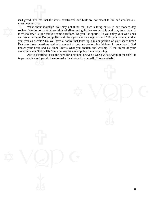isn't greed. Tell me that the items constructed and built are not meant to fail and another one must be purchased.

 knows your heart and He alone knows what you cherish and worship. If the object of your must be purchased.<br>What about idolatry? You may not think<br>society. We do not have house idols of silver and<br>there idolatry? Let me ask you some questions. Do<br>and vacation time? Do you polish and clean your c<br>you treat as a and vacation time? Do you polish and clean your car on a regular basis? Do you have a pet that What about idolatry? You may not think that such a thing exists in our modern day society. We do not have house idols of silver and gold that we worship and pray to so how is there idolatry? Let me ask you some questions. Do you like sports? Do you enjoy your weekends you treat as a child? Do you have a hobby that takes up a major portion of your spare time? Evaluate those questions and ask yourself if you are performing idolatry in your heart. God attention is not God or His Son, you may be worshipping the wrong thing.

t God o<br>t God o<br>and you Are you starting to see the need for a national or even a world wide revival of the spirit. It is your choice and you do have to make the choice for yourself. **Choose wisely!**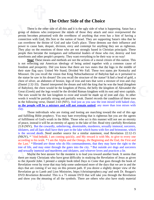#### **The Other Side of the Choice**

the em<br>ecome<br>d other<br>These n<br>ing our They play on the emotions of those who are not strongly based in Christian principals. These There is the other side of all this and it is the group of demons who overpower the minds of the person becomes possessed with the overthrow of connection with God, His Son or the nation of Isr can overthrow the throne of connection with God, His Son or the nation of Israel. They are supporting Satan's idea that he There is the other side of all this and it is the ugly side of what is happening. Satan has a group of demons who overpower the minds of those they attack and once overpowered the person becomes possessed with the overthrow of anything that even has a hint of having a can overthrow the throne of God and take God's place. These demons use their influence and power to cause hate, despair, division, envy and contempt for anything they see as righteous. people then become the instigators and influential leaders of those who riot, destroy and loot storefronts and other people's property. They want everything to be their way or no way!

(Daniel 2:32-33). Daniel interpreted the dream and told the king that he was the head (kingdom<br>of Babylon), the chest would be the kingdom of Persia, the belly the kingdom of Alexander the<br>Great (Greek) and the legs would l citizen of tl<br>with a con<br>t the logo ir<br>vo states are<br>pylon had as<br>ue? It had a **Stop!** These means and methods are not the actions of a moral citizen of this nation. This is not reflecting our American ideology of being united together with a common cause of freedom and prosperity. Did you know that there are two states that the logo in the middle of their state flag says: United We Stand, Divided We Fall. These two states are Kentucky and Missouri. Do you recall the vision that King Nebuchadnezzar of Babylon had as it pertained to the statue he saw in his dream? Do you recall the structure of the statue? It had a head of gold, a chest of silver, an abdomen of bronze, legs of iron and toes that were a mixture of iron and clay of Babylon), the chest would be the kingdom of Persia, the belly the kingdom of Alexander the Great (Greek) and the legs would be the divided Roman kingdom with its east and west capitals. The toes would be the last kingdom to exist and would be made up of iron and clay. In other words it would be partially strong and partially weak. Daniel records the condition of these toes in the following verse, Daniel 2:43 (NIV), And just as you saw the iron mixed with baked clay, **so the people will be a mixture and will not remain united**, any more than iron mixes with clay.

But the cow<br>d all liars sha<br>d death. Ne<br>And behold,<br>his work. <sup>13</sup><br>Blessed *are* ward th<br>us but y<br>er will n<br>very car Those individuals who are rioting and looting are marching toward the end of this age and fulfilling Bible prophecy. You may hate everything that is righteous but you are the agents of fulfillment of God's wrath in the Bible. Those who act is this manner will not see an eternity of peace, instead it will be an eternity of agony in the lake of fire. Read very carefully Revelation 21:8 (NIV), But the cowardly, unbelieving, abominable, murderers, sexually immoral, sorcerers, idolaters, and all liars shall have their part in the lake which burns with fire and brimstone, which is the second death. Need another source for a similar statement, read Revelation 22:12-15 (NKJV), **<sup>12</sup>** "And behold, I am coming quickly, and My reward *is* with Me, to give to every one according to his work. **<sup>13</sup>** I am the Alpha and the Omega, *the* Beginning and *the* End, the First and the Last." **<sup>14</sup>** Blessed *are* those who do His commandments, that they may have the right to the tree of life, and may enter through the gates into the city. **15** But outside *are* dogs and sorcerers

DVD *Revelation Revealed*. This is a 75 minute DVD that will take you through the Revelation and show you the meaning of all the symbols. There are others who also have study material 9 and sexually immoral and murderers and idolaters, and whoever loves and practices a lie.<br>Maybe the best answer for the moment is to lead you toward another book. It see<br>there are many Christians who have great difficulty i Maybe the best answer for the moment is to lead you toward another book. It seems that there are many Christians who have great difficulty in studying the Revelation of Jesus as given to the Apostle John. I penned a simple book titled *Days to Come* that goes through the book of Revelation verse by verse that may help some understand more of the days that we are in and the days that are coming if we stay on this present path. If you desire a slightly deeper view of the Revelation go to Lamb and Lion Ministries, https://christinprophecy.org/ and seek Dr. Reagan's and show you the meaning of all the symbols. There are others who also have study material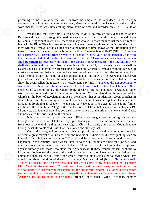pertaining to the Revelation that will run from the simple to the very deep. These in-depth commentaries will go so far as to review every Greek word used in the Revelation and what that word means. These are studies taking many hours of time and recorded on 7 to 12 DVDs or more.

Great Tribulation. One such verse is found in First Thessalonians 4:16-17 (NKJV), <sup>16</sup> For the Lord Himself will descend from heaven with a shout, with the voice of an archangel, and with the trumpet of God. And the dead i there will be a removal of the Church prior to the period of time known as the Tribulation or the commentaries will go so far as to review every Gre<br>word means. These are studies taking many hours<br>more.<br>What I feel the Holy Spirit is leading me<br>Rapture and then to go through the possible wars the<br>Millennial Kingdom of Rapture and then to go through the possible wars that will occur from this time to the end of the mention of the Church. Yes! I agree there is the bride of Christ that is spoken of in chapters 19 alonians 5:9 (NKJV), For God did not appoint us to<br>the Lord Jesus Christ. Notice that Christians (true<br>ody of Christ) are not appointed to wrath. In other<br>tribulation. We can also show the removal of the<br>n Revelation that **shall be caught up** together with them in the clouds to meet the Lord in the air. And thus we shall always be with the Lord. Notice what is said in verse 17, that we who are alive shall be caught up. This is the event we What I feel the Holy Spirit is leading me to do is go through the event known as the Millennial Kingdom of Jesus. First, there are many who will debate the fact that the word rapture is not in the Bible. That is a true statement! However, there are those verses in text that imply Lord Himself will descend from heaven with a shout, with the voice of an archangel, and with the trumpet of God. And the dead in Christ will rise first. **17** Then we who are alive *and* remain shall always be with the Lord. Notice what is said in verse 17, that we who are alive shall be caught up. This is the event we are speaking of when the Church is removed from the earth. You must also remember that you have to be a member of Jesus' church in order to be caught up. Jesus' church is not the name of a denomination it is the body of believers that have been justified and sanctified by and through the blood of Jesus. The second reference that is used to show the event called the rapture is 1 Thessalonians 5:9 (NKJV), For God did not appoint us to wrath, but to obtain salvation through our Lord Jesus Christ. Notice that Christians (true believers of Christ or simply the Church body of Christ) are not appointed to wrath. In other words we are removed prior to the coming tribulation. We can also show the removal of the Church in the book of Revelation. Notice in Revelation that Jesus identifies seven churches in Asia. These could be seven types of churches or seven church ages and spoken of in chapters 1 through 3. Beginning in chapter 4 to the end of Revelation in chapter 22 there is no further 22 and yes, that is the church. But you also have to notice that the bride is in heaven with Christ and now called the bride and not the church.

e is in h<br>o me du<br>he wars It is now time to approach the most difficult task assigned to me during this journey through God's word. I said I felt the Holy Spirit leading me to define the wars that are to come from now to the end of the thousand year reign of Christ. I can only pray and ask God to lead me

Francon, and Kingdom against Kingdom. There will be Tallinnes and earthquakes in various places.<br>
<sup>8</sup>All these are the beginning of birth pains. Strong's Concordance - Greek Dictionary number<br>
10 nation, and kingdom against kingdom. There will be famines and earthquakes in various places. against authority and those who stand for righteo<br>incite hostility between the races of this nation then<br>united and shall see our fall from God's grace. Jesu<br>asked Him about the signs of the end of the age.<br>"Watch out that "Watch out that no one deceives you. <sup>5</sup>For many will come in my name, claiming, 'I am the through what He wants said. With that I say Amen and start my task.<br>One of the thoughts I presented was that as a people and as a r<br>of either a great revival or a 2nd civil war and revolution. Where we<br>idea of a 2nd civil One of the thoughts I presented was that as a people and as a nation we stand on the brink of either a great revival or a 2nd civil war and revolution. Where would I even pick up such an idea of a 2nd civil war or revolution? That should be a no-brainer! Look around at what is happening in this country. Those whose intent is to stir up trouble are doing their job well and there are many who have made their choice to follow the trouble makers and take up arms against authority and those who stand for righteousness. If these trouble makers continue to incite hostility between the races of this nation then we as a nation have become divided and not united and shall see our fall from God's grace. Jesus told his disciples the following when they asked Him about the signs of the end of the age. Matthew  $24:4-8$  (NIV),  $4$ Jesus answered: Christ,' and will deceive many. <sup>6</sup>You will hear of wars and rumors of wars, but see to it that you are not alarmed. Such things must happen, but the end is still to come. <sup>7</sup>Nation will rise against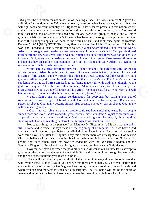Adam's sin brought death, so death spread to everyone, for everyone sinned.<sup>13</sup> Yes, people sinned even before the law was given. But it was not counted as sin because there was not yet any law to break.<sup>14</sup> Still, everyon work and I needed to identify this reference source. **12** When Adam sinned, sin entered the world. definition for kingdom as *basileia* meaning realm, t<br>will fight race and realm (country) will fight realm<br>at that point where there is no trust, no unity and m<br>think that the blood of Christ was shed only for<br>groups are l groups are left out. Somehow Satan's influence has become so strong in one group or the other 1484 gives the definition for nation as *ethnos* meaning a race. The Greek number 932 gives the definition for kingdom as *basileia* meaning realm, therefore, what Jesus was saying was that race will fight race and realm (country) will fight realm. If lawlessness prevails in this nation we are at that point where there is no trust, no unity and most certainly no common ground. You would think that the blood of Christ was shed only for one particular group of people and all other that truth no longer applies. Go back to the words of Paul and look once again at Romans. Romans 5:12-21 (NLT) NOTE: This is my first use of the New Living Translation (NLT) in this even before the law was given. But it was not counted as sin because there was not yet any law to break.**14** Still, everyone died—from the time of Adam to the time of Moses—even those who did not disobey an explicit commandment of God, as Adam did. Now Adam is a symbol, a representation of Christ, who was yet to come.

bour being made right with God, even though we are<br>
e man, Adam, caused death to rule over many. But<br>
his gift of righteousness, for all who receive it will<br>
is one man, Jesus Christ.<br>
demnation for everyone, but Christ's his gift of forgiveness to many through this other man, Jesus Christ.<sup>16</sup> And the result of God's gracious gift. For the sin of this one man, Adam, brought death to many. But even greater is God's wonderful grace and his g <sup>15</sup> But there is a great difference between Adam's sin and God's gracious gift. For the sin of this one man, Adam, brought death to many. But even greater is God's wonderful grace and gracious gift is very different from the result of that one man's sin. For Adam's sin led to condemnation, but God's free gift leads to our being made right with God, even though we are guilty of many sins.**17** For the sin of this one man, Adam, caused death to rule over many. But even greater is God's wonderful grace and his gift of righteousness, for all who receive it will live in triumph over sin and death through this one man, Jesus Christ.

<sup>18</sup> Yes, Adam's one sin brings condemnation for everyone, but Christ's one act of righteousness brings a right relationship with God and new life for everyone.**19** Because one person disobeyed God, many became sinners. But because one other person obeyed God, many will be made righteous.

<sup>20</sup> God's law was given so that all people could see how sinful they were. But as people<br>more and more, God's wonderful grace became more abundant.<sup>21</sup> So just as sin ruled over<br>ple and brought them to death, now God's wo sinned more and more, God's wonderful grace became more abundant.**21** So just as sin ruled over all people and brought them to death, now God's wonderful grace rules instead, giving us right standing with God and resulting in eternal life through Jesus Christ our Lord.

e two things<br>and in vers<br>will have to l<br>ave to be aff<br>lievers in all<br>each other Notice two things in the passage from Matthew 24. First, in verse 6 it says that the end is still to come and in verse 8 it says these are the beginning of birth pains. So, if we have a 2nd civil war it will have to happen before the tribulation and I would go so far as to say that such a war would have to be after the Rapture. I say this because there are very righteous, God fearing Christian believers in all races including black and white and it is not the will of God that His people fight each other. That was how we ended up with the Northern Kingdom and the Southern Kingdom of Israel and they did fight each other, but that was not God's desire.

 Now that we have addressed the possibility of a civil war in our country let us attempt to go through the battles that the area of the Middle East and Israel will go through between today and the end of the thousand year reign of Christ.

Hact u Armageddon, in fact the battle of Armageddon may be the eighth battle in our list of battles. Now that we have addressed the possibility of the possibility<br>go through the battles that the area of the Middle E<br>and the end of the thousand year reign of Christ.<br>There will be many people that think of the<br>will involve will involve Israel. Not so! Would you believe that there are as many as 9 different battles that There will be many people that think of the battle of Armageddon as the only war that are identified in scripture. By God's grace I am going to attempt to show you each battle and where you can find the facts for each battle in scripture. The first battle will not be the battle of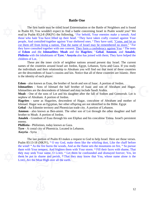#### **Battle One**

of **Edom** and the **Ishmaelites**; **Moab** and the **Hagrites**; <sup>7</sup> **Gebal**, **Ammon**, and **Amalek**; **Philistia** with the inhabitants of **Tyre**; <sup>8</sup> **Assyria** also has joined with them; They have helped the children of Lot.<br>The they have consulted together with one consent; They form a confederacy against You: <sup>6</sup> The tents The first battle may be titled Israel Extermin<br>in Psalm 83. You wouldn't expect to find a battle<br>read in Psalm 83:2-8 (NKJV) the following, <sup>2</sup> For<br>those who hate You have lifted up their head. <sup>3</sup> T<br>people, And consulted those who hate You have lifted up their head. **<sup>3</sup>** They have taken crafty counsel against Your The first battle may be titled Israel Extermination or the Battle of Neighbors and is found in Psalm 83. You wouldn't expect to find a battle concerning Israel in Psalm would you? We read in Psalm 83:2-8 (NKJV) the following, <sup>2</sup> For behold, Your enemies make a tumult; And people, And consulted together against Your sheltered ones. <sup>4</sup> They have said, "Come, and let us cut them off from *being* a nation, That the name of Israel may be remembered no more." <sup>5</sup> For **Philistia** with the inhabitants of **Tyre**; **8 Assyria** also has joined with them; They have helped the children of Lot.

ent day Israe<br>
in and Gaz<br>
hat most of<br>
countries ar<br>
countries ar These are the inner circle of neighbor nations around present day Israel. The current names of the countries around Israel are Jordon, Egypt, Lebanon, Syria and Gaza. If you study the individuals and their relationship to Abraham you will find out that most of these countries are the descendents of Isaac's cousins and kin. Notice that all of these countries are Islamic. Here is the identity of each player:

**Edom** - also known as Esau, the brother of Jacob and son of Isaac. A portion of Jordon.

Edom - also known as Esau, the brother of Jacob and son of Isaac. A portion of Jordon.<br> **Ishmaelites** - Sons of Ishmael the half brother of Isaac and son of Abraham and Hagar.<br>
Ishmaelites are the descendents of Ishmael an **Ishmaelites** - Sons of Ishmael the half brother of Isaac and son of Abraham and Hagar. Ishmaelites are the descendents of Ishmael and may include Saudi Arabia.

**Moab** - One of the sons of Lot and his daughter after the fall of Sodom and Gomorrah. Lot is nephew of Abraham. A portion of Jordon.

Ishmael. Hagar was an Egyptian, her other offspring are not identified in the Bible. Egypt

**Gebal** - An Edomite territory and Phoenician trade city. A portion of Lebanon.

**Ammon** - also known as Ben-ammi. The other son of Lot through the other daughter and half brother to Moab. A portion of Jordon.<br>Amalek - Grandson of Esau through his son Eliphaz and his concubine Timna. Israel's persisten brother to Moab. A portion of Jordon.

**Amalek** - Grandson of Esau through his son Eliphaz and his concubine Timna. Israel's persistent enemy.

**Phillistia** - Philistines, today known as Gaza.

**Tyre** - A costal city of Phoenicia. Located in Lebanon. **Assyria** - Syria

them with Your tempest, And frighten them with Your storm. <sup>16</sup> Fill their faces with shame, That they may seek Your name, O LORD. <sup>17</sup> Let them be confounded and dismayed forever; Yes, let them be put to shame and perish, Phillistia - Philistines, today known as Gaza.<br> **Tyre** - A costal city of Phoenicia. Located in Lebanon.<br> **Assyria** - Syria<br>
The last portion of Psalm 83 makes a request to God to help Israel. Here are those verses.<br>
Psalm The last portion of Psalm 83 makes a request to God to help Israel. Here are those verses. the wind! **14** As the fire burns the woods, And as the flame sets the mountains on fire, **15** So pursue they may seek Your name, O LORD. **17** Let them be confounded and dismayed forever; Yes, let them be put to shame and perish, **18** That they may know that You, whose name alone *is* the LORD, *Are* the Most High over all the earth.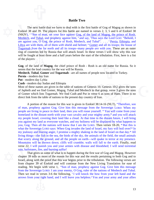#### **Battle Two**

Fogaman *from* the rat florid and an its troops--many people *are* with you. These are an outer<br>ring of countries led by Russia that will attack Israel. In these verses I will show why this war<br>will be fought at least thre Togarmah *from* the far north and all its troops--many people *are* with you. These are an outer The next battle that we have to deal with is<br>Ezekiel 38 and 39. The players for this battle are<br>(NKJV), <sup>2</sup> "Son of man, set your face against <u>Gog</u><br><u>Meshech</u>, and <u>Tubal</u>, and prophesy against him, <sup>3</sup> am against you, O G Meshech, and Tubal, and prophesy against him, <sup>3</sup> and say, 'Thus says the Lord GOD: "Behold, I The next battle that we have to deal with is the first battle of Gog of Magog as shown in Ezekiel 38 and 39. The players for this battle are named in verses 2, 3, 5 and 6 of Ezekiel 38 (NKJV), <sup>2</sup> "Son of man, set your face against Gog, of the land of Magog, the prince of Rosh, am against you, O Gog, the prince of Rosh, Meshech, and Tubal". . . . <sup>5</sup> Persia, *Ethiopia*, and Libya are with them, all of them *with* shield and helmet; *Gomer* and all its troops; the house of will be fought at least three and a half years before the start of the tribulation. First, here is a list of the players:

old name for<br>w located in **Gog**, of the land of **Magog**, the chief prince of Rosh - Rosh is an old name for Russia. So it seems that the lead country for the war will be Russia.

**Meshech**, **Tubal**, **Gomer** and **Togarmah** - are all names of people now located in Turkey.

**Persia** - modern day Iran

**Put** - modern day Lybia

**Cush** - modern day Sudan and Ethiopia

of nations of Genesis 10. Genesis 10:2 gives the sons<br>al and Meshech in that group, verse 3 gives the sons<br>clush and Put in verse 6 as sons of Ham. There is no<br>esent day country of Iran. Most of these names are given in the table of nations of Genesis 10. Genesis 10:2 gives the sons of Japheth and we find Gomer, Magog, Tubal and Meshech in that group, verse 3 gives the sons of Gomer which lists Togarmah. We find Cush and Put in verse 6 as sons of Ham. There is no direct link from the table of nations to the present day country of Iran.

hen all the r<br>vereign Lord<br>and blazing<br>—the fish in<br>long the gro<br>will be throw You wil<br>Trany,<sup>16</sup> and<br>listant fi<br>layed by of man, prophesy against Gog. Give him this message from the Sovereign LORD: When my A portion of the reason for this war is given in Ezekiel 38:14-16 (NLT), "Therefore, son people are living in peace in their land, then you will rouse yourself. **15** You will come from your homeland in the distant north with your vast cavalry and your mighty army,**16** and you will attack my people Israel, covering their land like a cloud. At that time in the distant future, I will bring you against my land as everyone watches, and my holiness will be displayed by what happens to you, Gog. Then all the nations will know that I am the LORD. Then verses 18-20, **18** But this is what the Sovereign LORD says: When Gog invades the land of Israel, my fury will boil over!**19** In my jealousy and blazing anger, I promise a mighty shaking in the land of Israel on that day.**20** All living things—the fish in the sea, the birds of the sky, the animals of the field, the small animals that scurry along the ground, and all the people on earth—will quake in terror at my presence. Mountains will be thrown down; cliffs will crumble; walls will fall to the earth. Finally, read verse 22, I will punish you and your armies with disease and bloodshed; I will send torrential rain, hailstones, fire, and burning sulfur!

in verse<br>
our righ<br>
explicitly Then we read in verses 3-6 the following, <sup>3</sup>I will knock the bow from your left hand and the rain, hailstones, fire, and burning sulfur!<br>That gives us some of what is to happen duri<br>chapter 39 tells us more of the reason for this war a<br>Israel, along with the proof that this war begins pric<br>from chapter 39 of Ezeki from chapter 39 of Ezekiel and will continue from the New Living Translation for ease of That gives us some of what is to happen during the first war of Gog and Magog. However chapter 39 tells us more of the reason for this war and the results pertaining to both Gog and to Israel, along with the proof that this war begins prior to the tribulation. The following verses are reading. We begin with verse 1, "Son of man, prophesy against Gog. Give him this message from the Sovereign LORD: I am your enemy, O Gog, ruler of the nations of Meshech and Tubal. arrows from your right hand, and I will leave you helpless.**<sup>4</sup>** You and your army and your allies

13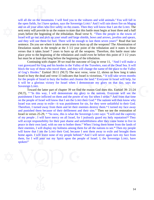takes Is<br>the beg<br>least th<br>uing wi Desolation stands in the temple at the 3 1/2 year point of the tribulation and it states in these the open fields, for I have spoken, says the Sovereig<br>and on all your allies who live safely on the coasts.<br>next entry will provide to us the reason to state that<br>years before the beginning of the tribulation. Read<br>Israel Israel will go out and pick up your small and large shields, bows and arrows, javelins and spears, will all die on the mountains. I will feed you to the vultures and wild animals.<sup>5</sup> You will fall in the open fields, for I have spoken, says the Sovereign LORD.<sup>6</sup> And I will rain down fire on Magog and on all your allies who live safely on the coasts. Then they will know that I am the LORD. The next entry will provide to us the reason to state that this battle must begin at least three and a half years before the beginning of the tribulation. Read verse 9, "Then the people in the towns of and they will use them for fuel. There will be enough to last them seven years!" Read that last sentence. Do you see where it takes seven years to burn up all the weapons? The Abomination of verses that it takes Israel 7 years to burn up all the weapons. Therefore, this battle must take place prior to the beginning of the tribulation and could even be before this point of 3 1/2 years but must be at least that long before the beginning of the tribulation.

rse 11, "An<br>east of the D<br>ne of the place<br>shows us ho<br><sup>12</sup> It will take Continuing with chapter 39 we read the outcome of Gog in verse 11, "And I will make a vast graveyard for Gog and his hordes in the Valley of the Travelers, east of the Dead Sea. It will block the way of those who travel there, and they will change the name of the place to the Valley of Gog's Hordes." Ezekiel 39:11 (NLT) The next verse, verse 12, shows us how long it takes Israel to bury the dead and verse 13 indicates that Israel is victorious, **12** It will take seven months for the people of Israel to bury the bodies and cleanse the land.**13** Everyone in Israel will help, for it will be a glorious victory for Israel when I demonstrate my glory on that day, says the Sovereign LORD.

peace in their own fand, whill fold bound them. When I bring them fold the rands of their enemies, I will display my holiness among them for all the nations to see.<sup>28</sup> Then my people will know that I am the LORD their God and punished them because of their defilement and their sins." Then we see the restoration of<br>Israel in verses 25-29, <sup>25</sup> "So now, this is what the Sovereign LORD says: "I will end the captivity<br>of my people ; I will have Therefore, I turned away from them and let their enemies destroy them.**24** I turned my face away Lemonstrate my glory on that day, says the<br>we find the reason God does this. Ezekiel 39: 21-24<br>e my glory to the nations. Everyone will see the<br>power of my fist when I strike.<sup>22</sup> And from that time<br>ne LORD their God.<sup>23</sup> Toward the latter part of chapter 39 we find the reason God does this. Ezekiel 39: 21-24 (NLT), **21** "In this way, I will demonstrate my glory to the nations. Everyone will see the punishment I have inflicted on them and the power of my fist when I strike.**22** And from that time on the people of Israel will know that I am the LORD their God.**23** The nations will then know why Israel was sent away to exile—it was punishment for sin, for they were unfaithful to their God. Israel in verses 25-29, **25** "So now, this is what the Sovereign LORD says: "I will end the captivity of my people ; I will have mercy on all Israel, for I jealously guard my holy reputation!**26** They will accept responsibility for their past shame and unfaithfulness after they come home to live in peace in their own land, with no one to bother them.**27** When I bring them home from the lands of will know that I am the LORD their God, because I sent them away to exile and brought them home again. I will leave none of my people behind.**29** And I will never again turn my face from them, for I will pour out my Spirit upon the people of Israel. I, the Sovereign LORD, have spoken!"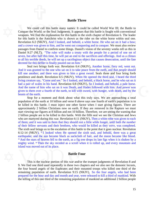#### **Battle Three**

Daniel<br>NLT),<br>er half t<br>ble deed<br>is defile passages from Daniel to confirm some things. Daniel's vision of the seventy weeks tell us this in We could call this battle many names: It of<br>Conquer the World; or the Seal Judgments. It appear<br>weapons. We find the explanation for this battle in<br>for this battle is the Antichrist who is shown as t<br>Revelation 6:2 (NKJV), for this battle is the Antichrist who is shown as the rider on the white horse within seal one. We could call this battle many names: It could be called World War III; the Battle to Conquer the World; or the Seal Judgments. It appears that this battle is fought with conventional weapons. We find the explanation for this battle in the sixth chapter of Revelation 6. The leader Revelation 6:2 (NKJV), And I looked, and behold, a white horse. He who sat on it had a bow; and a crown was given to him, and he went out conquering and to conquer. We must also review Daniel 9:27 (NLT), "The ruler will make a treaty with the people for a period of one set of seven, but after half this time, he will put an end to the sacrifices and offerings. And as a climax to all his terrible deeds, he will set up a sacrilegious object that causes desecration, until the fate decreed for this defiler is finally poured out on him."

had a pair of scales in his hand. Revelation 6:8 (NKJV), So I looked, and behold, a pale horse.<br>And the name of him who sat on it was Death, and Hades followed with him. And power was<br>given to them over a fourth of the ear s desecration<br>horse, fiery<br>arth, and that<br>three and f Seal two brings forth war. Revelation 6:4 (NKJV), Another horse, fiery red, went out. And it was granted to the one who sat on it to take peace from the earth, and that *people* should kill one another; and there was given to him a great sword. Seals three and four bring forth pestilence and death. Revelation 6:5 (NKJV), When He opened the third seal, I heard the third living creature say, "Come and see." So I looked, and behold, a black horse, and he who sat on it And the name of him who sat on it was Death, and Hades followed with him. And power was given to them over a fourth of the earth, to kill with sword, with hunger, with death, and by the beasts of the earth.

by servants<br>al brings us t<br>KJV), <sup>12</sup> I loo<br>and the sun<br>ars of heaver<br>I. <sup>14</sup> Then the approximately 2 billion Christians how on earth. If they are removed in the Kapture we must<br>start viewing our figures at 8 billion and not 10 billion. Therefore, we are seeing the warning that<br>2 billion people are to be ki approximately 2 billion Christians now on earth. If they are removed in the Rapture we must Stop for a moment and think about what this truly says. We are approaching a total population of the earth at 10 billion and verse 8 above says one fourth of earth's population is to be killed in this battle. I must inject one other factor when I start giving figures. There are start viewing our figures at 8 billion and not 10 billion. Therefore, we are seeing the warning that 2 billion people are to be killed in this battle. With the fifth seal we see the Christian and Jews who are martyred during this war. Revelation 6:11 (NKJV), Then a white robe was given to each *of* their fellow servants and their brethren, who would be killed as they *were,* was completed. The sixth seal brings us to the escalation of this battle to the point that it goes nuclear. Revelation 6:12-14 (NKJV), **12** I looked when He opened the sixth seal, and behold, there was a great earthquake; and the sun became black as sackcloth of hair, and the moon became like blood. <sup>13</sup> And the stars of heaven fell to the earth, as a fig tree drops its late figs when it is shaken by a mighty wind. **14** Then the sky receded as a scroll when it is rolled up, and every mountain and island was moved out of its place.

#### **Battle Four**

prepared for the hour and day and month and year, were released to kill a third of mankind. With<br>the killing of this one third of the remaining population of mankind an additional 2 billion people<br>15 remaining population of earth. Revelation 9:15 (NKJV), So the four angels, who had been Battle Form and the state of the place.<br>Battle Form and the four bound angels of the Euphrates and their This is the nuclear portion of this war and/or the trumpet judgments of Revelation 8 and 9. We find one third used repeatedly in these two chapters and we also see the demonic locusts, the four bound angels of the Euphrates and their mounted troops who killed one third of the the killing of this one third of the remaining population of mankind an additional 2 billion people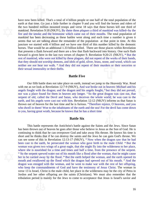#### read of<br>thash f<br>en here<br>d, who<br>ld not w horses. That would be an additional 1.33 billion killed. There are those places within Revelation earth at that time. Go just a little further in chapter<br>the two hundred million mounted troops and vers<br>mankind. Revelation 9:18 (NKJV), By these three<br>fire and the smoke and the brimstone which came<br>mankind has been decre mankind has been decreasing as these battles went along and each time a number is given it structure<br>stone, and w<br>urders or the have now been killed. That's a total of 4 billion people or one half of the total population of the earth at that time. Go just a little further in chapter 9 and you will find the horses and riders of the two hundred million mounted troops and verse 18 says that these horses kill one third of mankind. Revelation 9:18 (NKJV), By these three *plagues* a third of mankind was killed--by the fire and the smoke and the brimstone which came out of their mouths. The total population of seems that we are talking about the remainder of the population at that point in time. At this juncture we started with 4 billion and we have one third of this number killed by the demonic that presents a flash forward and there are a few that flash backward into history. One such flash forward is given here in the last two verses of chapter 9. Revelation 9:20-21 (NKJV), **20** But the rest of mankind, who were not killed by these plagues, did not repent of the works of their hands, that they should not worship demons, and idols of gold, silver, brass, stone, and wood, which can neither see nor hear nor walk. **21** And they did not repent of their murders or their sorceries or their sexual immorality or their thefts.

#### **Battle Five**

the dev who dwell in them! Woe to the inhabitants of the earth and the sea! For the devil has come down n earth, instead we jump to the Heavenly War. Read<br>KJV), And war broke out in heaven: Michael and his<br>son and his angels fought, <sup>8</sup> but they did not prevail,<br>any longer. <sup>9</sup> So the great dragon was cast out, that<br>who dece Our fifth battle does not take place on earth, instead we jump to the Heavenly War. Read with me as we look at Revelation 12:7-9 (NKJV), And war broke out in heaven: Michael and his angels fought with the dragon; and the dragon and his angels fought, <sup>8</sup> but they did not prevail, nor was a place found for them in heaven any longer. <sup>9</sup> So the great dragon was cast out, that serpent of old, called the Devil and Satan, who deceives the whole world; he was cast to the earth, and his angels were cast out with him. Revelation 12:12 (NKJV) informs us that Satan is thrown out of heaven for the last time and he is furious. "Therefore rejoice, O heavens, and you to you, having great wrath, because he knows that he has a short time

#### **Battle Six**

r other<br>iod is m Jordon and her other offspring are the saints (Christians). We must also remember that the Where she is nourished for a time and times and half a time, from the presence of the serpent.<br>
<sup>15</sup> So the serpent spewed water out of his mouth like a flood after the woman, that he might cause<br>
her to be carried away by dragon was enraged with the woman, and he went to make war with the rest of her offspring, battle repres<br>bwn out of h<br>bink that l<br>thinks that<br>e of this in l<br>the earth, h This battle represents the Antichrist's battle against the Saints and the Jews. Since Satan has been thrown out of heaven he goes after those who believe in Jesus as the Son of God. He is continuing to think that he can overpower God and take away His throne. He knows his time is short and he thinks that if he can destroy the saints and the Jews he can gain God's throne. We can see some of this in Revelation 12:13-17 (NKJV), **13** Now when the dragon saw that he had been cast to the earth, he persecuted the woman who gave birth to the male *Child.* **<sup>14</sup>** But the woman was given two wings of a great eagle, that she might fly into the wilderness to her place, <sup>15</sup> So the serpent spewed water out of his mouth like a flood after the woman, that he might cause her to be carried away by the flood. <sup>16</sup> But the earth helped the woman, and the earth opened its mouth and swallowed up the flood which the dragon had spewed out of his mouth. **17** And the who keep the commandments of God and have the testimony of Jesus Christ. The woman in verse 13 is Israel, Christ is the male child, her place in the wilderness may be the city of Petra in tribulation period is mainly for the Jews to come to acceptance that Jesus is Israel's savior and

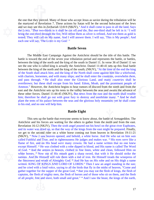the martyred of Revelation 7. These actions by Sa<br>and we may see this in Zechariah 13:8-9 (NKJV),<sup>8</sup><br>the LORD, "*That* two-thirds in it shall be cut off an<br>bring the *one*-third through the fire, Will refine then<br>tested. T tested. They will call on My name, And I will answer them. I will say, 'This *is* My people'; And the one that they pierced. Many of those who accept Jesus as savior during the tribulation will be the martyred of Revelation 7. These actions by Satan will be the second holocaust of the Jews and we may see this in Zechariah 13:8-9 (NKJV), <sup>8</sup> And it shall come to pass in all the land, Says the LORD, "*That* two-thirds in it shall be cut off *and* die, But *one*-third shall be left in it: **<sup>9</sup>** I will bring the *one-*third through the fire, Will refine them as silver is refined, And test them as gold is each one will say, 'The LORD *is* my God.' "

#### **Battle Seven**

 $\begin{bmatrix} \text{iddle} \\ \text{c} \\ \text{the} \\ \text{the} \\ \text{the} \\ \text{the} \\ \text{the} \\ \text{the} \\ \text{the} \\ \text{the} \\ \text{the} \\ \text{the} \\ \text{the} \\ \text{the} \\ \text{the} \\ \text{the} \\ \text{the} \\ \text{the} \\ \text{the} \\ \text{the} \\ \text{the} \\ \text{the} \\ \text{the} \\ \text{the} \\ \text{the} \\ \text{the} \\ \text{the} \\ \text{the} \\ \text{the} \\ \text{the} \\ \text{the} \\ \text{the} \\ \text{the} \\ \text{the} \\ \text{the} \\ \text{the$ s hand: Edom, Moab, and the prominent people of<br>hear rumors of discord from the north and from the<br>e valley between the seas and awaits the advance of<br>, But news from the east and the north shall trouble<br>ury to destroy and between the king of the north and the king of the south in Daniel 11. In verse 36 of Daniel 11 we see the one who is called king is actually the Antichrist. Daniel 11:40-41 sets up this final battle between the king of the The Middle East Campaign Against the Antichrist should be the title of this battle. The battle is toward the end of the seven year tribulation period and represents the battle, or battles, see the one who is called king is actually the Antichrist. Daniel 11:40-41 sets up this final battle between the king of the north and the king of the south; (NKJV), "At the time of the end the king of the South shall attack him; and the king of the North shall come against him like a whirlwind, with chariots, horsemen, and with many ships; and he shall enter the countries, overwhelm *them,* and pass through. **41** He shall also enter the Glorious Land, and many *countries* shall be overthrown; but these shall escape from his hand: Edom, Moab, and the prominent people of Ammon." However, the Antichrist begins to hear rumors of discord from the north and from the east and the Antichrist sets up his tents in the valley between the seas and awaits the advance of these other forces. Daniel 11:44-45 (NKJV), But news from the east and the north shall trouble him; therefore he shall go out with great fury to destroy and annihilate many. <sup>45</sup> And he shall plant the tents of his palace between the seas and the glorious holy mountain; yet he shall come to his end, and no one will help him.

#### **Battle Eight**

esh of n<br>ree and captains, the flesh of mighty men, the flesh of horses and of those who sit on them, and the flesh of God. <sup>14</sup> And the armies in heaven, clothed in film white horses. <sup>15</sup> Now out of His mouth goes a shall nations. And He Himself will rule them with a rod the fierceness and wrath of Almighty God. <sup>16</sup> And H written: KI written: KING OF KINGS AND LORD OF LORDS.<sup>17</sup> Then I saw an angel standing in the sun; 6:12 (NKJV)<br>was dried u<br>e second ride<br>low I saw he<br>iul and True,<br>e, and on Hi **Battle Eight**<br>This sets up the battle that everyone seems to know about, the battle of Armageddon. The<br>Antichrist and his forces are waiting for the others to gather from the north and from the east. This sets up the battle that everyone seems to know about, the battle of Armageddon. The Revelation 16:12 (NKJV), Then the sixth angel poured out his bowl on the great river Euphrates, and its water was dried up, so that the way of the kings from the east might be prepared. Finally, we get to the second rider on a white horse coming out from heaven in Revelation 19:11-21 (NKJV), **11** Now I saw heaven opened, and behold, a white horse. And He who sat on him *was* called Faithful and True, and in righteousness He judges and makes war. **12** His eyes *were* like a flame of fire, and on His head *were* many crowns. He had a name written that no one knew except Himself. **13** He *was* clothed with a robe dipped in blood, and His name is called The Word of God. **14** And the armies in heaven, clothed in fine linen, white and clean, followed Him on white horses. <sup>15</sup> Now out of His mouth goes a sharp sword, that with it He should strike the nations. And He Himself will rule them with a rod of iron. He Himself treads the winepress of the fierceness and wrath of Almighty God. **16** And He has on *His* robe and on His thigh a name and he cried with a loud voice, saying to all the birds that fly in the midst of heaven, "Come and gather together for the supper of the great God, **18** that you may eat the flesh of kings, the flesh of of all *people,* free and slave, both small and great." **19** And I saw the beast, the kings of the earth,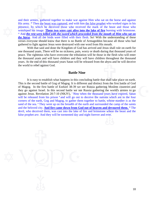His army. <sup>20</sup> Then <u>the beast was captured</u>, and with l presence, by which he deceived those who rece worshiped his image. **These two were cast alive i**  $2^1$  And *the rest were killed with the sword which pr the horse the horse*. And all the birds were filled with their flesh. So! With the understanding of these and their armies, gathered together to make war against Him who sat on the horse and against His army. <sup>20</sup> Then the beast was captured, and with him the false prophet who worked signs in his presence, by which he deceived those who received the mark of the beast and those who worshiped his image. **These two were cast alive into the lake of fire** burning with brimstone. **<sup>21</sup>** And *the rest were killed with the sword which proceeded from the mouth of Him who sat on*  verses everyone should know that there is no Battle of Armageddon because all those who had gathered to fight against Jesus were destroyed with one word from His mouth.

> years. The<br>teous<br>years are<br>end of the With that said and done the Kingdom of God has arrived and Jesus shall rule on earth for wears. At the end of this thousand years Satan will be released from the abyss and he will deceive<br>the world to rebel against God.<br>**Battle Nine** one thousand years. There will be no sickness, pain, worry or death during that thousand years of peace. The righteous who have overcome the tribulation will be those in the flesh who will enter the thousand years and will have children and they will have children throughout the thousand the world to rebel against God.

#### **Battle Nine**

devil, who deceived them, was cast into the lake of fire and brimstone where the beast and the false prophet *are*. And they will be tormented day and night forever and ever. and the beloved city. **And fire came down from God out of heaven and devoured them.** <sup>10</sup> The It is different and distinct from the first battle of God<br>-39 we see Russia gathering Moslem countries and<br>e we see Russia gathering the world's armies to go<br><sup>7</sup> Now when the thousand years have expired, Satan<br>go out to de It is easy to establish what happens in this concluding battle that shall take place on earth. This is the second battle of Gog of Magog. It is different and distinct from the first battle of God of Magog. In the first battle of Ezekiel 38-39 we see Russia gathering Moslem countries and they go against Israel. In this second battle we see Russia gathering the world's armies to go against Jesus. Revelation 20:7-10 (NKJV), <sup>7</sup> Now when the thousand years have expired, Satan will be released from his prison <sup>8</sup> and will go out to deceive the nations which are in the four corners of the earth, Gog and Magog, to gather them together to battle, whose number *is* as the sand of the sea. <sup>9</sup> They went up on the breadth of the earth and surrounded the camp of the saints false prophet *are.* And they will be tormented day and night forever and ever.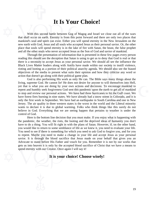### **It Is Your Choice!**

 place that souls will spend eternity is in the lake of fire with Satan, the beast, the false prophet With this second battle between Gog of M<br>that shall occur on earth. Eternity is from this poin<br>mankind's soul and spirit can exist. Either you wil that shall occur on earth. Eternity is from this point forward and there are only two places that With this second battle between Gog of Magog and Israel we close out all of the wars mankind's soul and spirit can exist. Either you will spend eternity in the New Jerusalem on the new earth with God, Jesus and all souls who accepted Jesus as their personal savior. Or, the other and all the other souls who never accepted Jesus as the Son of God and savior of mankind.

er souls<br>gh the p<br>nould se<br>essity to there is a necessity to accept Jesus as your personal savior. We should all see the influence the Black Lives Matter leaders along with Antifa have made within our society to instill violence, rioting and looting as a port Through the presentation of information that is presented in these few pages every person reading this should see the deception that Satan is using to get us to deny that God is real or that Black Lives Matter leaders along with Antifa have made within our society to instill violence, rioting and looting as a portion of their political anarchy agenda. We should also see the biased objectives of the media to present what suits their opinion and how they criticize any word or action that doesn't go along with their political game plan.

 wants to declare it is due to global warming. Folks who think things like this surely do not s not desire for anyone to will themselves into Hell,<br>
rn actions and decisions. To encourage mankind to<br>
this pandemic upon the earth to get all of mankind<br>
e have had three hurricanes to hit the Gulf coast. We<br>
have alre God is also performing His work as only He can. The Bible says many things about the living, supreme God. He cannot lie! He does not desire for anyone to will themselves into Hell, yet that is what you are doing by your own actions and decisions. To encourage mankind to repent and humbly seek forgiveness God sent this pandemic upon the earth to get all of mankind to stop and review our personal actions. We have had three hurricanes to hit the Gulf coast. We have forest fires burning in nine states. We have already had a snow storm in Colorado, and it is only the first week in September. We have had an earthquake in South Carolina and one in New Jersey. The air quality in three western states is the worst in the world and the Liberal minority control of God.

spend eternity with our Creator. Once again I will say it!<br>
It is your choice! Choo have to do a timig. Tou will it fight in with the plans of satali. However, it, on the other hand, you would like to return to some semblance of life as we knew it, you need to evaluate your life. You need to see if there believe in God. Everything that we are seeing happen that pertains to weather is under the<br>control of God.<br>Here is the bottom line decision that you must make. If you enjoy what is happening with<br>the pandemic, the weather, Here is the bottom line decision that you must make. If you enjoy what is happening with the pandemic, the weather, the riots, the looting and the deprived ideas of humanity you don't have to do a thing. You will fit right in with the plans of Satan. However, if, on the other hand, You need to see if there is something for which you need to ask God to forgive you, and for you to repent. Maybe you need to make a change in your life and accept Jesus as your personal savior. It is through the blood sacrifice that Jesus made on your behalf that gives you an Advocate to stand before His Father and vouch for you. Remember it is not by our works that gets us into heaven it is only by the accepted blood sacrifice of Christ that we have a means to

#### **It is your choice! Choose wisely!**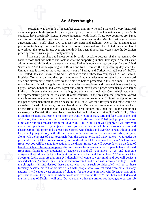#### **An Afterthought**

 to work out this treaty in just over one month. It has been almost forty years since the Jordanian Yesterday was the 15th of September 2020<br>event take place. In the young life, seventy-two yea<br>countries have previously signed a peace agreemen<br>and Jordon. Yesterday we saw two more Arab<br>agreement with Israel. These two co and Jordon. Yesterday we saw two more Arab countries in the Middle East sign a peace Yesterday was the 15th of September 2020 and my wife and I watched a very historical event take place. In the young life, seventy-two years, of modern Israel's existence only two Arab countries have previously signed a peace agreement with Israel. These two countries are Egypt agreement with Israel. These two countries are UAE and Bahrain. One of the amazing facts pertaining to this agreement is that these two countries worked with the United States and Israel peace agreement was signed. Simply amazing!

is treaty<br>ent was<br>not a pr<br>first two<br>t inform w. They<br>of Tars sial, which will be enjoying peace after recovering<br>from many lands to the mountains of Israel.<sup>9</sup> You<br>army—will roll down on them like a storm and co<br>Sovereign LORD says: At that time evil thoughts wi<br>wicked scheme.<sup>11</sup> Y wicked scheme.**11** You will say, 'Israel is an unprotected land filled with unwalled villages! I will around and put hooks in your jaws to lead you out with your whole army—your horses and charioteers in full armor and a great horde armed with shields and swords.<sup>5</sup> Persia, Ethiopia, and Libya will join you, too, with all lp set u<br>iel 38:1<br>and fac<br>pal, and<br>r enemy of the Bible says and that God is not a liar. These actions only help set up the conditions untries against Israel and those neighbors are Syria,<br>and Jordon have signed peace agreements with Israel<br>group that we must look at is Gaza, which actually is<br>ther countries in the area join the Abraham Accord<br>o come to t al text says.<br>ng contempt<br>soon coming<br>ey will pull<br>countries, U<br>y join the Al I am not a prophet but I most certainly could speculate because of this agreement. Go back to those first two battles and look at what the supporting Biblical text says. Now, let's start adding current information to those statements. Turkey is now showing contempt for the United States and NATO while agreeing with Russia and Iran. I foresee the soon coming day when the United states is asked to move our military out of Turkey and Turkey will pull out of NATO. The United States will move its Middle East base to one of these two countries, UAE or Bahrain. President Trump also stated that up to nine other Arab countries may join the Abraham Accord after our November election. Review the first two battles presented in this document. The first was a battle of Israel's neighboring Arab countries against Israel and those neighbors are Syria, Egypt, Jordon, Lebanon and Gaza. Egypt and Jordon have signed peace agreements with Israel in the past. It seems the one country in this group that we must look at is Gaza, which actually is the representative portion of Palestine. If other countries in the area join the Abraham Accord there is tremendous pressure on Palestine to come to the peace table. If Palestine signed on to this peace agreement there might be peace in the Middle East for a few years and there would be a sharing of wealth in science, food and health issues. But we must remember what the prophecy necessary for Ezekiel 38 to take place. Here is what the Lord says, Ezekiel 38:1-23 (NLT), <sup>1</sup> This is another message that came to me from the LORD:<sup>2</sup> "Son of man, turn and face Gog of the land of Magog, the prince who rules over the nations of Meshech and Tubal, and prophesy against him.<sup>3</sup> Give him this message from the Sovereign LORD: Gog, I am your enemy!<sup>4</sup> I will turn you charioteers in full armor and a great horde armed with shields and swords.<sup>5</sup> Persia, Ethiopia, and Libya will join you, too, with all their weapons.<sup>6</sup> Gomer and all its armies will also join you, along with the armies of Beth-togarmah from the distant north, and many others.**<sup>7</sup>** "Get ready; be prepared! Keep all the armies around you mobilized, and take command of them.<sup>8</sup> A long time from now you will be called into action. In the distant future you will swoop down on the land of Israel, which will be enjoying peace after recovering from war and after its people have returned from many lands to the mountains of Israel.<sup>9</sup> You and all your allies—a vast and awesome army—will roll down on them like a storm and cover the land like a cloud.**10** "This is what the Sovereign LORD says: At that time evil thoughts will come to your mind, and you will devise a march against her and destroy these people who live in such confidence!**12** I will go to those formerly desolate cities that are now filled with people who have returned from exile in many nations. I will capture vast amounts of plunder, for the people are rich with livestock and other possessions now. They think the whole world revolves around them!'**13** But Sheba and Dedan and the merchants of Tarshish will ask, 'Do you really think the armies you have gathered can rob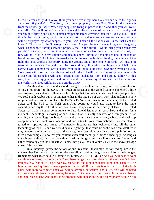this is v<br>over!<sup>19</sup> I<br>day.<sup>20</sup> A<br>Il anima when I announced through Israel's prophets that in the future I would bring you against my and carry off plunder?'<sup>4</sup> "Therefore, son of man, p<br>from the Sovereign LORD: When my people are liv<br>yourself. <sup>15</sup> You will come from your homeland in<br>your mighty army,<sup>16</sup> and you will attack my people<br>time in the distan time in the distant future, I will bring you against my land as everyone watches, and my holiness the sty, are<br>ple on earth-<br>umble; walls<br>, says the Sc<br>you and you<br>and burning them of silver and gold? Do you think you can drive away their livestock and seize their goods and carry off plunder?'**14** "Therefore, son of man, prophesy against Gog. Give him this message from the Sovereign LORD: When my people are living in peace in their land, then you will rouse yourself. **15** You will come from your homeland in the distant north with your vast cavalry and your mighty army,**16** and you will attack my people Israel, covering their land like a cloud. At that will be displayed by what happens to you, Gog. Then all the nations will know that I am the LORD.<sup>17</sup> "This is what the Sovereign LORD asks: Are you the one I was talking about long ago, people?**18** But this is what the Sovereign LORD says: When Gog invades the land of Israel, my fury will boil over!**19** In my jealousy and blazing anger, I promise a mighty shaking in the land of Israel on that day.**20** All living things—the fish in the sea, the birds of the sky, the animals of the field, the small animals that scurry along the ground, and all the people on earth—will quake in terror at my presence. Mountains will be thrown down; cliffs will crumble; walls will fall to the earth.<sup>21</sup> I will summon the sword against you on all the hills of Israel, says the Sovereign LORD. Your men will turn their swords against each other.<sup>22</sup> I will punish you and your armies with disease and bloodshed; I will send torrential rain, hailstones, fire, and burning sulfur!**23** In this way, I will show my greatness and holiness, and I will make myself known to all the nations of the world. Then they will know that I am the LORD.

technology of the F-35 and we would have a fighter jet that could be controlled from satellites if they entered the wrong air space at the wrong time. We might even have the capability to shut them down completely so that bst. Stop<br>er of a<br>es, tabl<br>ations. capability and buy them for their air force. Now, the question is the security of Israel. The United LORD.<br>
ring this two hour ceremony was the possibility of<br>
ambassador to the United Nations expressed a little<br>
hings that I know and a few that I think are possible.<br>
er in the late 80's or early 90's. That airframe is no Another item that was discussed during this two hour ceremony was the possibility of selling F-35 aircraft to the UAE. The Israeli ambassador to the United Nations expressed a little concern over this statement. Here are a few things that I know and a few that I think are possible. We sold Saudi Arabia our F-15 fighters either in the late 80's or early 90's. That airframe is now 40 years old and has been replaced by F-22s or F-35s in our own aircraft inventory. If the United States sold the F-35 to the UAE other Arab countries would also want to have the same States has made a sound commitment to help defend Israel at all cost. Stop and think for a moment. Technology is moving at such a rate that it is only a matter of a few years, if not months, that technology doubles. I personally know that smart phones, tablets and desk top computers can all track your location and can listen to your conversations. They can also be turned on, updated and turned off remotely. Incorporate that technology into all the other they entered the wrong air space at the wrong time. We might even have the capability to shut them down completely so that you couldn't even start them up if things turned ugly. As long as there is peace things work as they should. Allow things to escalate into a warfare footing and either technology or God Himself will come into play. Look at verses 21-22 in the above passage to see if this isn't so.

and hate each other.<sup>11</sup> And many false prophets will appear and will deceive many people.<sup>12</sup> Sin and hate each other.<sup>11</sup> And many false prophets will appear and will deceive many people.<sup>12</sup> Sin all over the world because you are my followers. **<sup>10</sup>** And many will turn away from me and betray In all honesty I praise the actions of our Pres<br>manner that He has and for this reprieve to allow<br>Remember what Jesus said in Matthew 24. Matthew<br>and threats of wars, but don't panic. Yes, these thin<br>immediately.' Nation w immediately.<sup>7</sup> Nation will go to war against nation, and kingdom against kingdom. There will be In all honesty I praise the actions of our President, I thank my God for leading him in the manner that He has and for this reprieve to allow mankind to go forward for a little longer. Remember what Jesus said in Matthew 24. Matthew 24:6-14 (NLT), **<sup>6</sup>** And you will hear of wars and threats of wars, but don't panic. Yes, these things must take place, but the end won't follow famines and earthquakes in many parts of the world.**<sup>8</sup>** But all this is only the first of the birth pains, with more to come.<sup>9</sup> "Then you will be arrested, persecuted, and killed. You will be hated